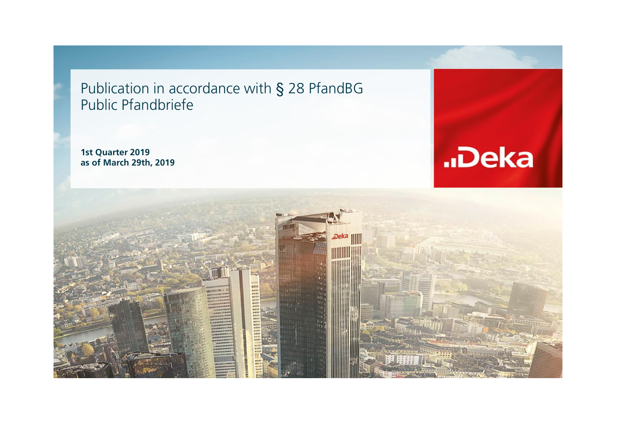Publication in accordance with § 28 PfandBG Public Pfandbriefe

**1st Quarter 2019 as of March 29th, 2019**



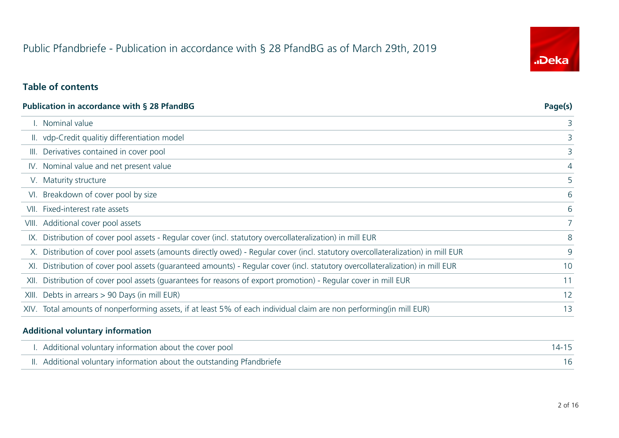# Public Pfandbriefe - Publication in accordance with § 28 PfandBG as of March 29th, 2019

# "Deka

#### **Table of contents**

| <b>Publication in accordance with § 28 PfandBG</b>                                                                               | Page(s)     |
|----------------------------------------------------------------------------------------------------------------------------------|-------------|
| . Nominal value                                                                                                                  | 3           |
| II. vdp-Credit qualitiy differentiation model                                                                                    | 3           |
| III. Derivatives contained in cover pool                                                                                         | 3           |
| IV. Nominal value and net present value                                                                                          | 4           |
| V. Maturity structure                                                                                                            | 5           |
| VI. Breakdown of cover pool by size                                                                                              | 6           |
| VII. Fixed-interest rate assets                                                                                                  | 6           |
| VIII. Additional cover pool assets                                                                                               | $7^{\circ}$ |
| IX. Distribution of cover pool assets - Regular cover (incl. statutory overcollateralization) in mill EUR                        | 8           |
| X. Distribution of cover pool assets (amounts directly owed) - Regular cover (incl. statutory overcollateralization) in mill EUR | 9           |
| XI. Distribution of cover pool assets (guaranteed amounts) - Regular cover (incl. statutory overcollateralization) in mill EUR   | 10          |
| XII. Distribution of cover pool assets (quarantees for reasons of export promotion) - Regular cover in mill EUR                  | 11          |
| XIII. Debts in arrears > 90 Days (in mill EUR)                                                                                   | 12          |
| XIV. Total amounts of nonperforming assets, if at least 5% of each individual claim are non performing(in mill EUR)              | 13          |
|                                                                                                                                  |             |

#### **Additional voluntary information**

 $\overline{a}$ 

| I. Additional voluntary information about the cover pool               |  |
|------------------------------------------------------------------------|--|
| II. Additional voluntary information about the outstanding Pfandbriefe |  |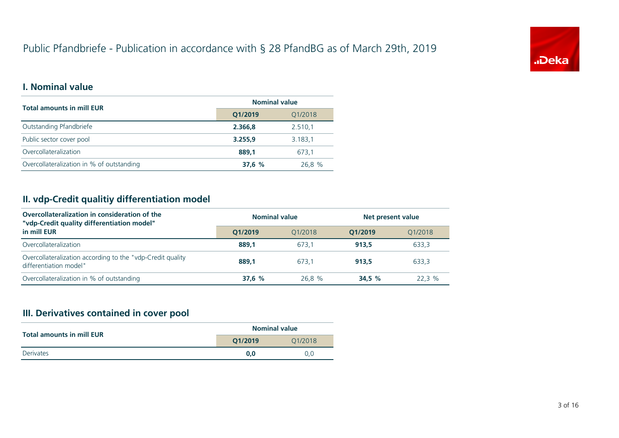# Public Pfandbriefe - Publication in accordance with § 28 PfandBG as of March 29th, 2019



#### **I. Nominal value**

| <b>Total amounts in mill EUR</b>          | <b>Nominal value</b> |         |
|-------------------------------------------|----------------------|---------|
|                                           | Q1/2019              | Q1/2018 |
| Outstanding Pfandbriefe                   | 2.366,8              | 2.510,1 |
| Public sector cover pool                  | 3.255,9              | 3.183,1 |
| Overcollateralization                     | 889.1                | 673.1   |
| Overcollateralization in % of outstanding | 37.6%                | 26.8 %  |

#### **II. vdp-Credit qualitiy differentiation model**

| Overcollateralization in consideration of the<br>"vdp-Credit quality differentiation model" | <b>Nominal value</b> |         | Net present value |         |  |
|---------------------------------------------------------------------------------------------|----------------------|---------|-------------------|---------|--|
| in mill EUR                                                                                 | O1/2019              | 01/2018 | O1/2019           | 01/2018 |  |
| Overcollateralization                                                                       | 889.1                | 673.1   | 913.5             | 633,3   |  |
| Overcollateralization according to the "vdp-Credit quality<br>differentiation model"        | 889.1                | 673.1   | 913.5             | 633.3   |  |
| Overcollateralization in % of outstanding                                                   | 37.6%                | 26.8 %  | 34.5%             | 22.3%   |  |

# **III. Derivatives contained in cover pool**

| <b>Total amounts in mill EUR</b> | <b>Nominal value</b> |         |  |
|----------------------------------|----------------------|---------|--|
|                                  | O1/2019              | 01/2018 |  |
| <b>Derivates</b>                 | 0.0                  | 0.0     |  |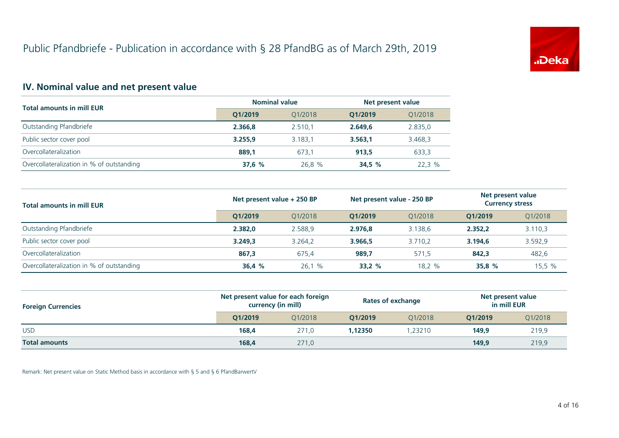

# **IV. Nominal value and net present value**

| <b>Total amounts in mill EUR</b>          | <b>Nominal value</b> |         | Net present value |         |
|-------------------------------------------|----------------------|---------|-------------------|---------|
|                                           | O1/2019              | 01/2018 | O1/2019           | 01/2018 |
| Outstanding Pfandbriefe                   | 2.366.8              | 2.510.1 | 2.649.6           | 2.835,0 |
| Public sector cover pool                  | 3.255.9              | 3.183.1 | 3.563.1           | 3.468,3 |
| Overcollateralization                     | 889.1                | 673.1   | 913.5             | 633,3   |
| Overcollateralization in % of outstanding | 37,6%                | 26.8 %  | 34.5%             | 22.3%   |

| <b>Total amounts in mill EUR</b>          | Net present value + 250 BP |         | Net present value - 250 BP |         | Net present value<br><b>Currency stress</b> |         |
|-------------------------------------------|----------------------------|---------|----------------------------|---------|---------------------------------------------|---------|
|                                           | O1/2019                    | 01/2018 | O1/2019                    | 01/2018 | O1/2019                                     | Q1/2018 |
| Outstanding Pfandbriefe                   | 2.382.0                    | 2.588.9 | 2.976.8                    | 3.138.6 | 2.352.2                                     | 3.110,3 |
| Public sector cover pool                  | 3.249.3                    | 3.264.2 | 3.966.5                    | 3.710.2 | 3.194.6                                     | 3.592,9 |
| Overcollateralization                     | 867.3                      | 675.4   | 989,7                      | 571.5   | 842.3                                       | 482,6   |
| Overcollateralization in % of outstanding | 36,4%                      | 26,1 %  | 33.2%                      | 18,2 %  | 35,8 %                                      | 15,5 %  |

| <b>Foreign Currencies</b> | Net present value for each foreign<br>currency (in mill) |         | <b>Rates of exchange</b> |         | Net present value<br>in mill EUR |         |
|---------------------------|----------------------------------------------------------|---------|--------------------------|---------|----------------------------------|---------|
|                           | O1/2019                                                  | 01/2018 | O1/2019                  | 01/2018 | O1/2019                          | Q1/2018 |
| <b>USD</b>                | 168,4                                                    | 271.0   | 1.12350                  | 1,23210 | 149,9                            | 219,9   |
| <b>Total amounts</b>      | 168,4                                                    | 271,0   |                          |         | 149.9                            | 219,9   |

Remark: Net present value on Static Method basis in accordance with § 5 and § 6 PfandBarwertV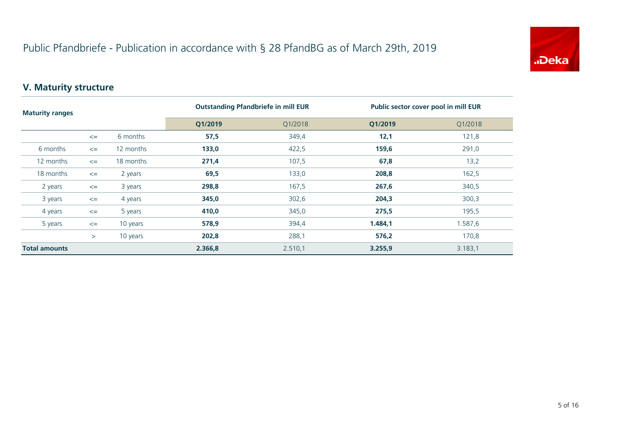

# **V. Maturity structure**

| <b>Maturity ranges</b> |        |           | <b>Outstanding Pfandbriefe in mill EUR</b> |         | Public sector cover pool in mill EUR |         |
|------------------------|--------|-----------|--------------------------------------------|---------|--------------------------------------|---------|
|                        |        |           | Q1/2019                                    | Q1/2018 | Q1/2019                              | Q1/2018 |
|                        | $\leq$ | 6 months  | 57,5                                       | 349,4   | 12,1                                 | 121,8   |
| 6 months               | $\leq$ | 12 months | 133,0                                      | 422,5   | 159,6                                | 291,0   |
| 12 months              | $\leq$ | 18 months | 271,4                                      | 107,5   | 67,8                                 | 13,2    |
| 18 months              | $\leq$ | 2 years   | 69,5                                       | 133,0   | 208,8                                | 162,5   |
| 2 years                | $\leq$ | 3 years   | 298,8                                      | 167,5   | 267,6                                | 340,5   |
| 3 years                | $\leq$ | 4 years   | 345,0                                      | 302,6   | 204,3                                | 300,3   |
| 4 years                | $\leq$ | 5 years   | 410,0                                      | 345,0   | 275,5                                | 195,5   |
| 5 years                | $\leq$ | 10 years  | 578,9                                      | 394,4   | 1.484,1                              | 1.587,6 |
|                        | $\geq$ | 10 years  | 202,8                                      | 288,1   | 576,2                                | 170,8   |
| <b>Total amounts</b>   |        | 2.366,8   | 2.510,1                                    | 3.255,9 | 3.183,1                              |         |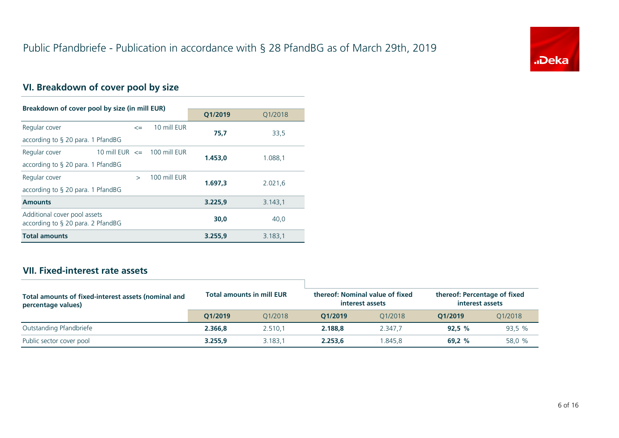

# **VI. Breakdown of cover pool by size**

| Breakdown of cover pool by size (in mill EUR)                        |                                 |              |         |         |
|----------------------------------------------------------------------|---------------------------------|--------------|---------|---------|
|                                                                      |                                 |              | Q1/2019 | Q1/2018 |
| Regular cover                                                        | $\leq$                          | 10 mill EUR  | 75.7    | 33,5    |
| according to $\S$ 20 para. 1 PfandBG                                 |                                 |              |         |         |
| Regular cover                                                        | 10 mill EUR $\leq$ 100 mill EUR |              | 1.453.0 | 1.088,1 |
| according to $\S$ 20 para. 1 PfandBG                                 |                                 |              |         |         |
| Regular cover                                                        | $\rightarrow$                   | 100 mill FUR | 1.697.3 | 2.021,6 |
| according to $\S$ 20 para. 1 PfandBG                                 |                                 |              |         |         |
| <b>Amounts</b>                                                       |                                 |              | 3.225.9 | 3.143,1 |
| Additional cover pool assets<br>according to $\S$ 20 para. 2 PfandBG |                                 |              | 30.0    | 40,0    |
| <b>Total amounts</b>                                                 |                                 |              | 3.255.9 | 3.183,1 |

#### **VII. Fixed-interest rate assets**

| Total amounts of fixed-interest assets (nominal and<br>percentage values) |         | <b>Total amounts in mill EUR</b> |         | thereof: Nominal value of fixed<br>interest assets | thereof: Percentage of fixed<br>interest assets |         |
|---------------------------------------------------------------------------|---------|----------------------------------|---------|----------------------------------------------------|-------------------------------------------------|---------|
|                                                                           | O1/2019 | 01/2018                          | O1/2019 | 01/2018                                            | O1/2019                                         | 01/2018 |
| Outstanding Pfandbriefe                                                   | 2.366.8 | 2.510.1                          | 2.188.8 | 2.347.7                                            | 92.5%                                           | 93,5 %  |
| Public sector cover pool                                                  | 3.255.9 | 3.183.1                          | 2.253.6 | .845.8                                             | 69.2 %                                          | 58.0 %  |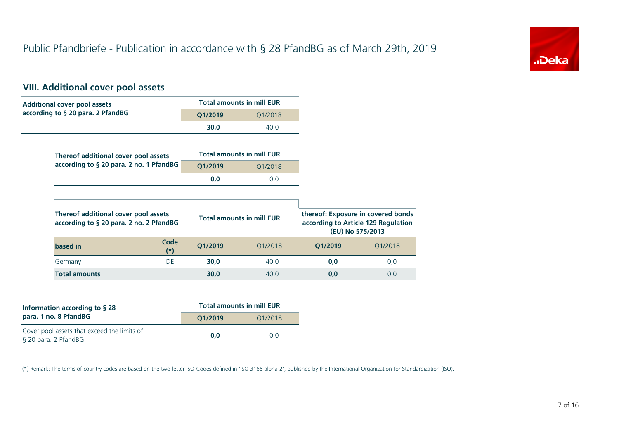

# **VIII. Additional cover pool assets**

| <b>Additional cover pool assets</b>                                             |         | <b>Total amounts in mill EUR</b> |                                                                           |                  |
|---------------------------------------------------------------------------------|---------|----------------------------------|---------------------------------------------------------------------------|------------------|
| according to § 20 para. 2 PfandBG                                               | Q1/2019 | Q1/2018                          |                                                                           |                  |
|                                                                                 | 30,0    | 40,0                             |                                                                           |                  |
|                                                                                 |         |                                  |                                                                           |                  |
| Thereof additional cover pool assets                                            |         | <b>Total amounts in mill EUR</b> |                                                                           |                  |
| according to § 20 para. 2 no. 1 PfandBG                                         | Q1/2019 | Q1/2018                          |                                                                           |                  |
|                                                                                 | 0,0     | 0,0                              |                                                                           |                  |
|                                                                                 |         |                                  |                                                                           |                  |
| Thereof additional cover pool assets<br>according to § 20 para. 2 no. 2 PfandBG |         | <b>Total amounts in mill EUR</b> | thereof: Exposure in covered bonds<br>according to Article 129 Regulation | (EU) No 575/2013 |
| Code<br>based in<br>$^{(*)}$                                                    | Q1/2019 | Q1/2018                          | Q1/2019                                                                   | Q1/2018          |
| DE<br>Germany                                                                   | 30,0    | 40,0                             | 0,0                                                                       | 0,0              |
| <b>Total amounts</b>                                                            | 30,0    | 40,0                             | 0,0                                                                       | 0,0              |

| Information according to $\S$ 28                                    | <b>Total amounts in mill EUR</b> |         |  |  |
|---------------------------------------------------------------------|----------------------------------|---------|--|--|
| para. 1 no. 8 PfandBG                                               | O1/2019                          | 01/2018 |  |  |
| Cover pool assets that exceed the limits of<br>§ 20 para. 2 PfandBG | 0.0                              | 0.0     |  |  |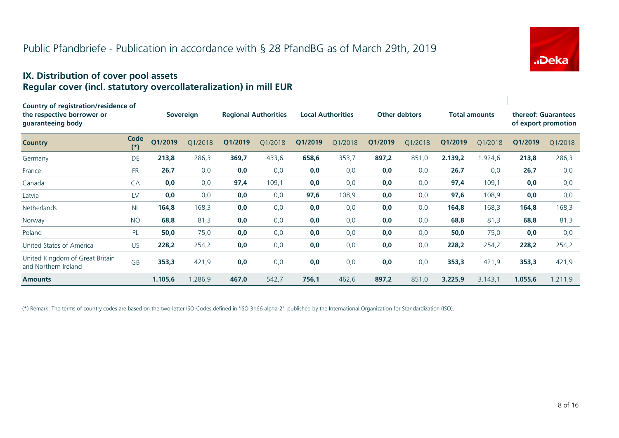

#### **IX. Distribution of cover pool assets Regular cover (incl. statutory overcollateralization) in mill EUR**

| Country of registration/residence of<br>the respective borrower or<br>guaranteeing body |               |         | <b>Sovereign</b> |         | <b>Regional Authorities</b> |         | <b>Local Authorities</b> | <b>Other debtors</b> |         |         | <b>Total amounts</b> |         | thereof: Guarantees<br>of export promotion |
|-----------------------------------------------------------------------------------------|---------------|---------|------------------|---------|-----------------------------|---------|--------------------------|----------------------|---------|---------|----------------------|---------|--------------------------------------------|
| <b>Country</b>                                                                          | Code<br>$(*)$ | Q1/2019 | O1/2018          | Q1/2019 | Q1/2018                     | Q1/2019 | Q1/2018                  | Q1/2019              | Q1/2018 | Q1/2019 | Q1/2018              | Q1/2019 | Q1/2018                                    |
| Germany                                                                                 | DE            | 213,8   | 286,3            | 369,7   | 433,6                       | 658,6   | 353,7                    | 897,2                | 851,0   | 2.139,2 | 1.924,6              | 213,8   | 286,3                                      |
| France                                                                                  | <b>FR</b>     | 26,7    | 0,0              | 0,0     | 0,0                         | 0,0     | 0,0                      | 0,0                  | 0,0     | 26,7    | 0,0                  | 26,7    | 0,0                                        |
| Canada                                                                                  | CA            | 0,0     | 0,0              | 97,4    | 109,1                       | 0,0     | 0,0                      | 0,0                  | 0,0     | 97,4    | 109,1                | 0,0     | 0,0                                        |
| Latvia                                                                                  | LV            | 0,0     | 0,0              | 0,0     | 0,0                         | 97,6    | 108,9                    | 0,0                  | 0,0     | 97,6    | 108,9                | 0,0     | 0,0                                        |
| <b>Netherlands</b>                                                                      | <b>NL</b>     | 164,8   | 168,3            | 0,0     | 0,0                         | 0,0     | 0,0                      | 0,0                  | 0,0     | 164,8   | 168,3                | 164,8   | 168,3                                      |
| Norway                                                                                  | <b>NO</b>     | 68,8    | 81,3             | 0,0     | 0,0                         | 0,0     | 0,0                      | 0,0                  | 0,0     | 68,8    | 81,3                 | 68,8    | 81,3                                       |
| Poland                                                                                  | PL            | 50,0    | 75,0             | 0,0     | 0,0                         | 0,0     | 0,0                      | 0,0                  | 0,0     | 50,0    | 75,0                 | 0,0     | 0,0                                        |
| United States of America                                                                | <b>US</b>     | 228,2   | 254,2            | 0,0     | 0,0                         | 0,0     | 0,0                      | 0,0                  | 0,0     | 228,2   | 254,2                | 228,2   | 254,2                                      |
| United Kingdom of Great Britain<br>and Northern Ireland                                 | <b>GB</b>     | 353,3   | 421,9            | 0,0     | 0,0                         | 0,0     | 0,0                      | 0,0                  | 0,0     | 353,3   | 421,9                | 353,3   | 421,9                                      |
| <b>Amounts</b>                                                                          |               | 1.105,6 | 1.286,9          | 467,0   | 542,7                       | 756,1   | 462,6                    | 897,2                | 851,0   | 3.225,9 | 3.143,1              | 1.055,6 | 1.211,9                                    |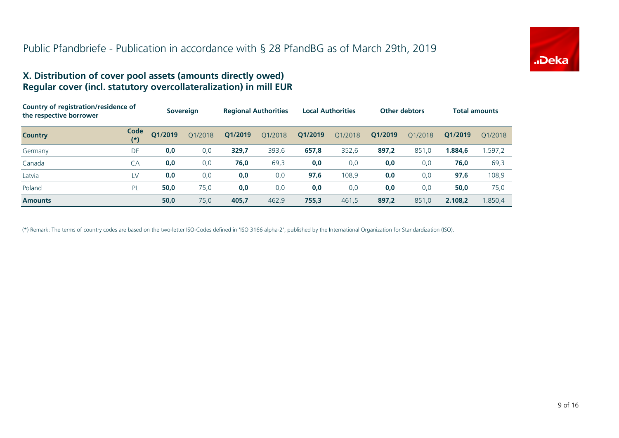

#### **X. Distribution of cover pool assets (amounts directly owed) Regular cover (incl. statutory overcollateralization) in mill EUR**

| Country of registration/residence of<br>the respective borrower |               |         | Sovereign |         | <b>Regional Authorities</b> | <b>Local Authorities</b> |         |         | <b>Other debtors</b> |         | <b>Total amounts</b> |
|-----------------------------------------------------------------|---------------|---------|-----------|---------|-----------------------------|--------------------------|---------|---------|----------------------|---------|----------------------|
| <b>Country</b>                                                  | Code<br>$(*)$ | Q1/2019 | Q1/2018   | Q1/2019 | Q1/2018                     | Q1/2019                  | Q1/2018 | Q1/2019 | 01/2018              | Q1/2019 | 01/2018              |
| Germany                                                         | DE            | 0,0     | 0,0       | 329,7   | 393,6                       | 657,8                    | 352,6   | 897,2   | 851,0                | 1.884,6 | .597,2               |
| Canada                                                          | CA            | 0,0     | 0,0       | 76,0    | 69,3                        | 0,0                      | 0,0     | 0,0     | 0,0                  | 76,0    | 69,3                 |
| Latvia                                                          | LV            | 0,0     | 0,0       | 0,0     | 0,0                         | 97,6                     | 108,9   | 0,0     | 0,0                  | 97,6    | 108,9                |
| Poland                                                          | PL            | 50,0    | 75,0      | 0,0     | 0,0                         | 0,0                      | 0,0     | 0,0     | 0,0                  | 50,0    | 75,0                 |
| <b>Amounts</b>                                                  |               | 50,0    | 75,0      | 405,7   | 462,9                       | 755,3                    | 461.5   | 897,2   | 851,0                | 2.108.2 | .850.4               |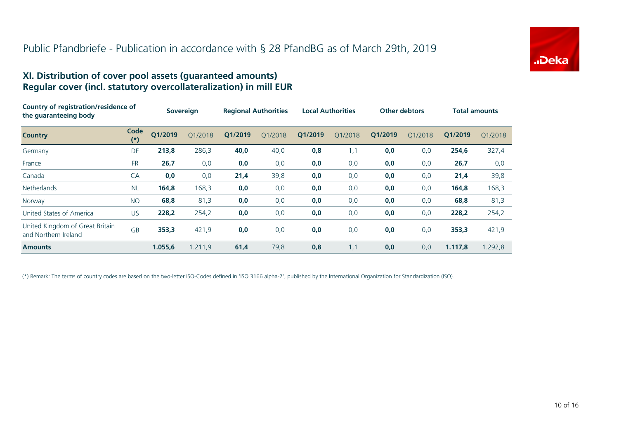

#### **XI. Distribution of cover pool assets (guaranteed amounts) Regular cover (incl. statutory overcollateralization) in mill EUR**

| Country of registration/residence of<br>the quaranteeing body |                  | <b>Sovereign</b> |         | <b>Regional Authorities</b> |         | <b>Local Authorities</b> |         | <b>Other debtors</b> |         | <b>Total amounts</b> |         |
|---------------------------------------------------------------|------------------|------------------|---------|-----------------------------|---------|--------------------------|---------|----------------------|---------|----------------------|---------|
| <b>Country</b>                                                | Code<br>$^{(*)}$ | Q1/2019          | 01/2018 | Q1/2019                     | O1/2018 | Q1/2019                  | 01/2018 | Q1/2019              | O1/2018 | Q1/2019              | 01/2018 |
| Germany                                                       | DE               | 213,8            | 286,3   | 40,0                        | 40,0    | 0,8                      | 1,1     | 0,0                  | 0,0     | 254,6                | 327,4   |
| France                                                        | <b>FR</b>        | 26,7             | 0,0     | 0,0                         | 0,0     | 0,0                      | 0,0     | 0,0                  | 0,0     | 26,7                 | 0,0     |
| Canada                                                        | CA               | 0,0              | 0,0     | 21,4                        | 39,8    | 0,0                      | 0,0     | 0,0                  | 0,0     | 21,4                 | 39,8    |
| <b>Netherlands</b>                                            | <b>NL</b>        | 164,8            | 168,3   | 0,0                         | 0,0     | 0,0                      | 0,0     | 0,0                  | 0,0     | 164,8                | 168,3   |
| Norway                                                        | <b>NO</b>        | 68,8             | 81,3    | 0,0                         | 0,0     | 0,0                      | 0,0     | 0,0                  | 0,0     | 68,8                 | 81,3    |
| United States of America                                      | US               | 228,2            | 254,2   | 0,0                         | 0,0     | 0,0                      | 0,0     | 0,0                  | 0,0     | 228,2                | 254,2   |
| United Kingdom of Great Britain<br>and Northern Ireland       | <b>GB</b>        | 353,3            | 421,9   | 0,0                         | 0,0     | 0,0                      | 0,0     | 0,0                  | 0,0     | 353,3                | 421,9   |
| <b>Amounts</b>                                                |                  | 1.055,6          | 1.211,9 | 61,4                        | 79,8    | 0,8                      | 1,1     | 0,0                  | 0,0     | 1.117,8              | 1.292,8 |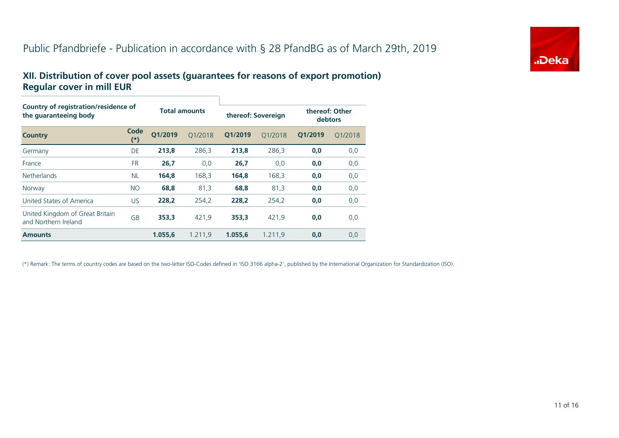# Public Pfandbriefe - Publication in accordance with § 28 PfandBG as of March 29th, 2019



#### **XII. Distribution of cover pool assets (guarantees for reasons of export promotion) Regular cover in mill EUR**

| Country of registration/residence of<br>the quaranteeing body |               |         |                      |         |                    |                           |         |
|---------------------------------------------------------------|---------------|---------|----------------------|---------|--------------------|---------------------------|---------|
|                                                               |               |         | <b>Total amounts</b> |         | thereof: Sovereign | thereof: Other<br>debtors |         |
| <b>Country</b>                                                | Code<br>$(*)$ | O1/2019 | O1/2018              | O1/2019 | O1/2018            | O1/2019                   | O1/2018 |
| Germany                                                       | DE            | 213.8   | 286,3                | 213,8   | 286,3              | 0,0                       | 0,0     |
| France                                                        | <b>FR</b>     | 26,7    | 0,0                  | 26,7    | 0,0                | 0,0                       | 0,0     |
| <b>Netherlands</b>                                            | <b>NL</b>     | 164,8   | 168,3                | 164,8   | 168,3              | 0,0                       | 0,0     |
| Norway                                                        | <b>NO</b>     | 68,8    | 81,3                 | 68,8    | 81,3               | 0,0                       | 0,0     |
| United States of America                                      | <b>US</b>     | 228.2   | 254,2                | 228.2   | 254,2              | 0,0                       | 0,0     |
| United Kingdom of Great Britain<br>and Northern Ireland       | <b>GB</b>     | 353.3   | 421.9                | 353.3   | 421.9              | 0,0                       | 0,0     |
| <b>Amounts</b>                                                |               | 1.055,6 | 1.211,9              | 1.055,6 | 1.211,9            | 0,0                       | 0,0     |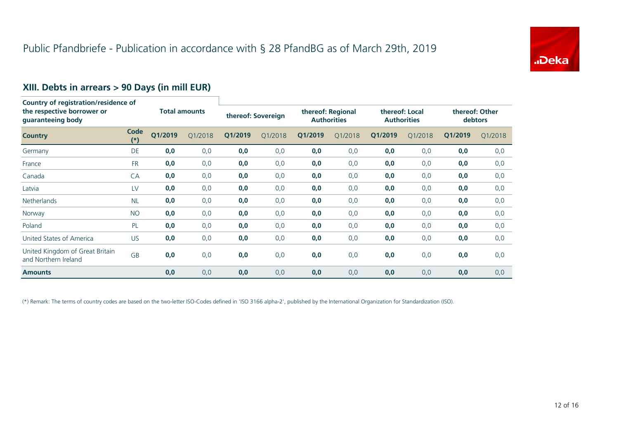

# **XIII. Debts in arrears > 90 Days (in mill EUR)**

| Country of registration/residence of<br>the respective borrower or<br>guaranteeing body |                  |                      |         |                    |         |                                         |         |                                      |         |                           |         |
|-----------------------------------------------------------------------------------------|------------------|----------------------|---------|--------------------|---------|-----------------------------------------|---------|--------------------------------------|---------|---------------------------|---------|
|                                                                                         |                  | <b>Total amounts</b> |         | thereof: Sovereign |         | thereof: Regional<br><b>Authorities</b> |         | thereof: Local<br><b>Authorities</b> |         | thereof: Other<br>debtors |         |
| <b>Country</b>                                                                          | Code<br>$^{(*)}$ | Q1/2019              | Q1/2018 | Q1/2019            | Q1/2018 | Q1/2019                                 | Q1/2018 | Q1/2019                              | Q1/2018 | Q1/2019                   | Q1/2018 |
| Germany                                                                                 | DE               | 0,0                  | 0,0     | 0,0                | 0,0     | 0,0                                     | 0,0     | 0,0                                  | 0,0     | 0,0                       | 0,0     |
| France                                                                                  | <b>FR</b>        | 0,0                  | 0,0     | 0,0                | 0,0     | 0,0                                     | 0,0     | 0,0                                  | 0,0     | 0,0                       | 0,0     |
| Canada                                                                                  | <b>CA</b>        | 0,0                  | 0,0     | 0,0                | 0,0     | 0,0                                     | 0,0     | 0,0                                  | 0,0     | 0,0                       | 0,0     |
| Latvia                                                                                  | LV               | 0,0                  | 0,0     | 0,0                | 0,0     | 0,0                                     | 0,0     | 0,0                                  | 0,0     | 0,0                       | 0,0     |
| <b>Netherlands</b>                                                                      | <b>NL</b>        | 0,0                  | 0,0     | 0,0                | 0,0     | 0,0                                     | 0,0     | 0,0                                  | 0,0     | 0,0                       | 0,0     |
| Norway                                                                                  | <b>NO</b>        | 0,0                  | 0,0     | 0,0                | 0,0     | 0,0                                     | 0,0     | 0,0                                  | 0,0     | 0,0                       | 0,0     |
| Poland                                                                                  | PL               | 0,0                  | 0,0     | 0,0                | 0,0     | 0,0                                     | 0,0     | 0,0                                  | 0,0     | 0,0                       | 0,0     |
| United States of America                                                                | <b>US</b>        | 0,0                  | 0,0     | 0,0                | 0,0     | 0,0                                     | 0,0     | 0,0                                  | 0,0     | 0,0                       | 0,0     |
| United Kingdom of Great Britain<br>and Northern Ireland                                 | GB               | 0,0                  | 0,0     | 0,0                | 0,0     | 0,0                                     | 0,0     | 0,0                                  | 0,0     | 0,0                       | 0,0     |
| <b>Amounts</b>                                                                          |                  | 0,0                  | 0,0     | 0,0                | 0,0     | 0,0                                     | 0,0     | 0,0                                  | 0,0     | 0,0                       | 0,0     |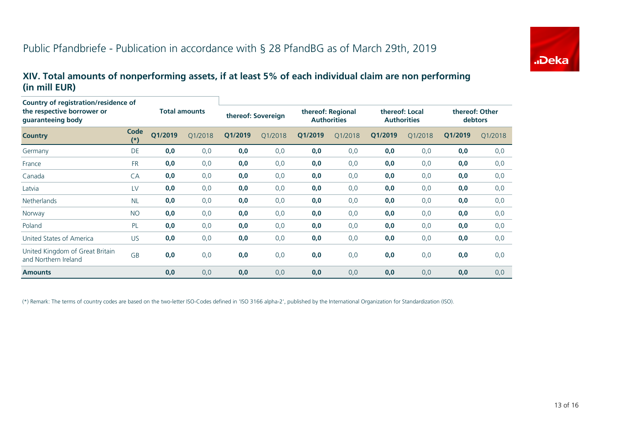

#### **XIV. Total amounts of nonperforming assets, if at least 5% of each individual claim are non performing (in mill EUR)**

| Country of registration/residence of<br>the respective borrower or<br>guaranteeing body |               |                      |         |                    |         |                                         |         |                                      |         |                           |         |
|-----------------------------------------------------------------------------------------|---------------|----------------------|---------|--------------------|---------|-----------------------------------------|---------|--------------------------------------|---------|---------------------------|---------|
|                                                                                         |               | <b>Total amounts</b> |         | thereof: Sovereign |         | thereof: Regional<br><b>Authorities</b> |         | thereof: Local<br><b>Authorities</b> |         | thereof: Other<br>debtors |         |
| <b>Country</b>                                                                          | Code<br>$(*)$ | Q1/2019              | Q1/2018 | Q1/2019            | Q1/2018 | Q1/2019                                 | Q1/2018 | Q1/2019                              | Q1/2018 | Q1/2019                   | Q1/2018 |
| Germany                                                                                 | <b>DE</b>     | 0,0                  | 0,0     | 0,0                | 0,0     | 0,0                                     | 0,0     | 0,0                                  | 0,0     | 0,0                       | 0,0     |
| France                                                                                  | <b>FR</b>     | 0,0                  | 0,0     | 0,0                | 0,0     | 0,0                                     | 0,0     | 0,0                                  | 0,0     | 0,0                       | 0,0     |
| Canada                                                                                  | CA            | 0,0                  | 0,0     | 0,0                | 0,0     | 0,0                                     | 0,0     | 0,0                                  | 0,0     | 0,0                       | 0,0     |
| Latvia                                                                                  | LV            | 0,0                  | 0,0     | 0,0                | 0,0     | 0,0                                     | 0,0     | 0,0                                  | 0,0     | 0,0                       | 0,0     |
| <b>Netherlands</b>                                                                      | <b>NL</b>     | 0,0                  | 0,0     | 0,0                | 0,0     | 0,0                                     | 0,0     | 0,0                                  | 0,0     | 0,0                       | 0,0     |
| Norway                                                                                  | <b>NO</b>     | 0,0                  | 0,0     | 0,0                | 0,0     | 0,0                                     | 0,0     | 0,0                                  | 0,0     | 0,0                       | 0,0     |
| Poland                                                                                  | PL            | 0,0                  | 0,0     | 0,0                | 0,0     | 0,0                                     | 0,0     | 0,0                                  | 0,0     | 0,0                       | 0,0     |
| United States of America                                                                | <b>US</b>     | 0,0                  | 0,0     | 0,0                | 0,0     | 0,0                                     | 0,0     | 0,0                                  | 0,0     | 0,0                       | 0,0     |
| United Kingdom of Great Britain<br>and Northern Ireland                                 | <b>GB</b>     | 0,0                  | 0,0     | 0,0                | 0,0     | 0,0                                     | 0,0     | 0,0                                  | 0,0     | 0,0                       | 0,0     |
| <b>Amounts</b>                                                                          |               | 0,0                  | 0,0     | 0,0                | 0,0     | 0,0                                     | 0,0     | 0,0                                  | 0,0     | 0,0                       | 0,0     |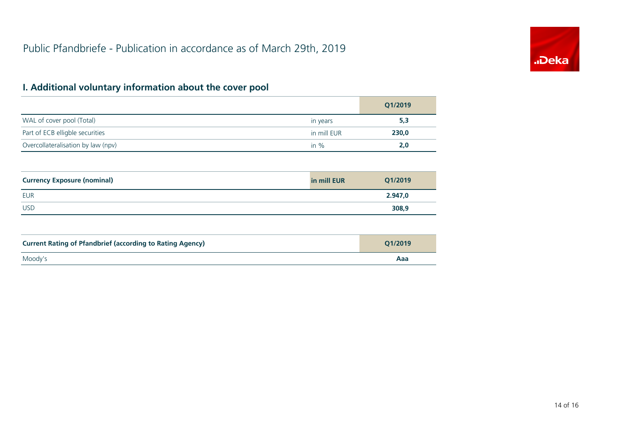

# **I. Additional voluntary information about the cover pool**

|                                    |             | Q1/2019 |
|------------------------------------|-------------|---------|
| WAL of cover pool (Total)          | in years    | 5,3     |
| Part of ECB elligble securities    | in mill EUR | 230,0   |
| Overcollateralisation by law (npv) | in $\%$     | 2.0     |

| <b>Currency Exposure (nominal)</b> | in mill EUR | Q1/2019 |
|------------------------------------|-------------|---------|
| <b>EUR</b>                         |             | 2.947,0 |
| <b>USD</b>                         |             | 308,9   |

| <b>Current Rating of Pfandbrief (according to Rating Agency)</b> | O1/2019 |
|------------------------------------------------------------------|---------|
| Moody's                                                          | Aaa     |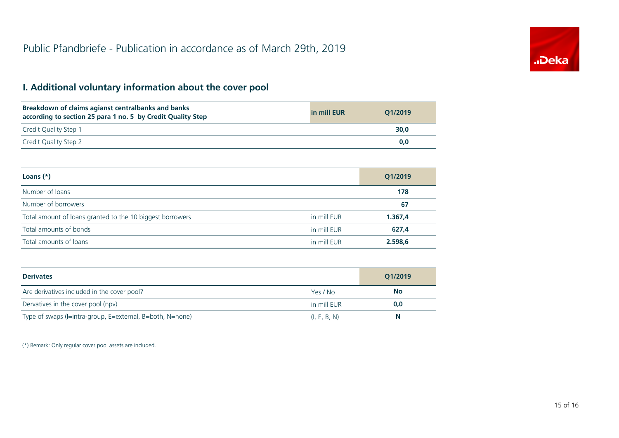

# **I. Additional voluntary information about the cover pool**

| Breakdown of claims agianst centralbanks and banks<br>according to section 25 para 1 no. 5 by Credit Quality Step | in mill EUR | O1/2019 |
|-------------------------------------------------------------------------------------------------------------------|-------------|---------|
| Credit Quality Step 1                                                                                             |             | 30,0    |
| Credit Quality Step 2                                                                                             |             | 0.0     |

| Loans $(*)$                                               |             | Q1/2019 |
|-----------------------------------------------------------|-------------|---------|
| Number of loans                                           |             | 178     |
| Number of borrowers                                       |             | 67      |
| Total amount of loans granted to the 10 biggest borrowers | in mill EUR | 1.367,4 |
| Total amounts of bonds                                    | in mill EUR | 627,4   |
| Total amounts of loans                                    | in mill EUR | 2.598,6 |

| <b>Derivates</b>                                          |              | Q1/2019   |
|-----------------------------------------------------------|--------------|-----------|
| Are derivatives included in the cover pool?               | Yes / No     | <b>No</b> |
| Dervatives in the cover pool (npv)                        | in mill EUR  | 0,0       |
| Type of swaps (I=intra-group, E=external, B=both, N=none) | (I, E, B, N) | N         |

(\*) Remark: Only regular cover pool assets are included.